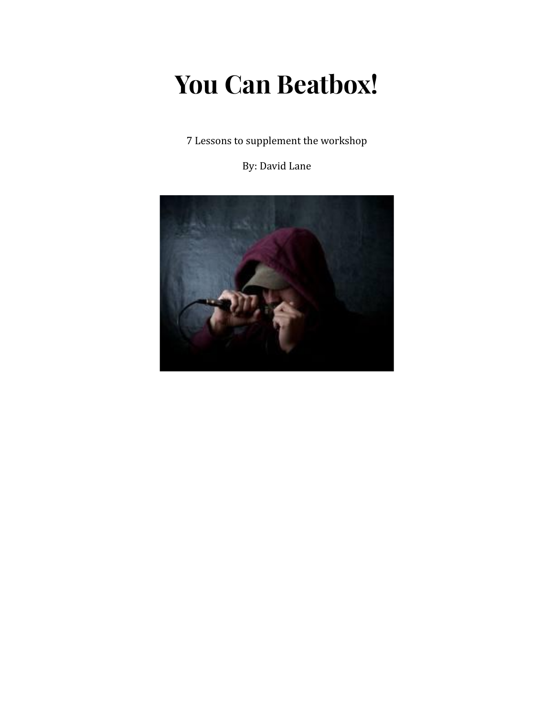# **You Can Beatbox!**

7 Lessons to supplement the workshop

By: David Lane

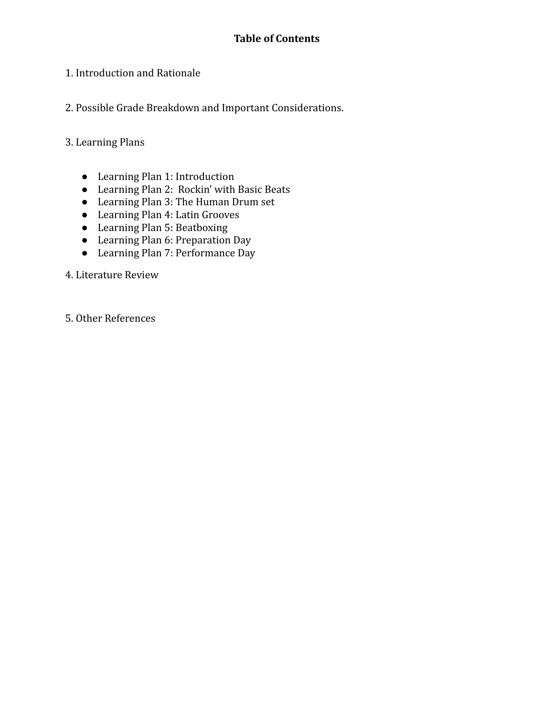- 1. Introduction and Rationale
- 2. Possible Grade Breakdown and Important Considerations.
- 3. Learning Plans
	- Learning Plan 1: Introduction
	- Learning Plan 2: Rockin' with Basic Beats
	- Learning Plan 3: The Human Drum set
	- Learning Plan 4: Latin Grooves
	- Learning Plan 5: Beatboxing
	- Learning Plan 6: Preparation Day
	- Learning Plan 7: Performance Day
- 4. Literature Review
- 5. Other References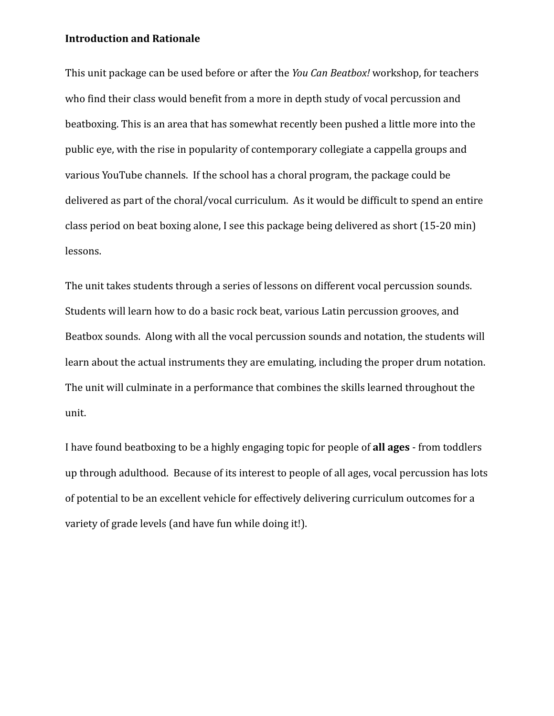#### **Introduction and Rationale**

This unit package can be used before or after the *You Can Beatbox!* workshop, for teachers who find their class would benefit from a more in depth study of vocal percussion and beatboxing. This is an area that has somewhat recently been pushed a little more into the public eye, with the rise in popularity of contemporary collegiate a cappella groups and various YouTube channels. If the school has a choral program, the package could be delivered as part of the choral/vocal curriculum. As it would be difficult to spend an entire class period on beat boxing alone, I see this package being delivered as short (15-20 min) lessons.

The unit takes students through a series of lessons on different vocal percussion sounds. Students will learn how to do a basic rock beat, various Latin percussion grooves, and Beatbox sounds. Along with all the vocal percussion sounds and notation, the students will learn about the actual instruments they are emulating, including the proper drum notation. The unit will culminate in a performance that combines the skills learned throughout the unit.

I have found beatboxing to be a highly engaging topic for people of **all ages** - from toddlers up through adulthood. Because of its interest to people of all ages, vocal percussion has lots of potential to be an excellent vehicle for effectively delivering curriculum outcomes for a variety of grade levels (and have fun while doing it!).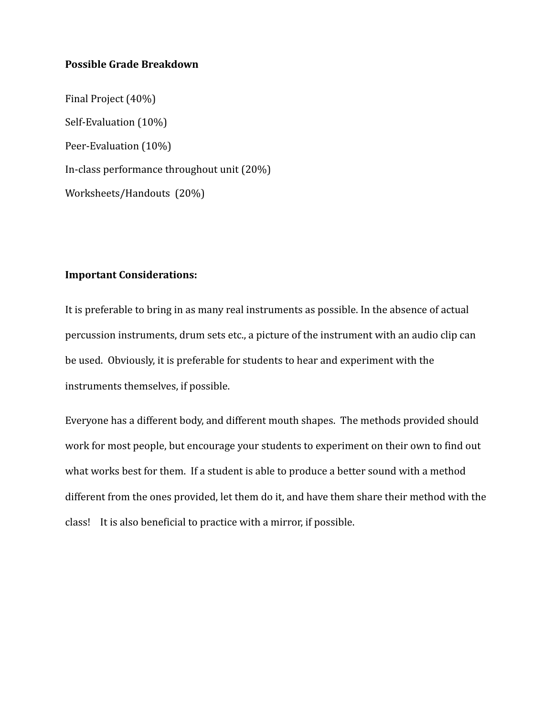#### **Possible Grade Breakdown**

Final Project (40%) Self-Evaluation (10%) Peer-Evaluation (10%) In-class performance throughout unit (20%) Worksheets/Handouts (20%)

#### **Important Considerations:**

It is preferable to bring in as many real instruments as possible. In the absence of actual percussion instruments, drum sets etc., a picture of the instrument with an audio clip can be used. Obviously, it is preferable for students to hear and experiment with the instruments themselves, if possible.

Everyone has a different body, and different mouth shapes. The methods provided should work for most people, but encourage your students to experiment on their own to find out what works best for them. If a student is able to produce a better sound with a method different from the ones provided, let them do it, and have them share their method with the class! It is also beneficial to practice with a mirror, if possible.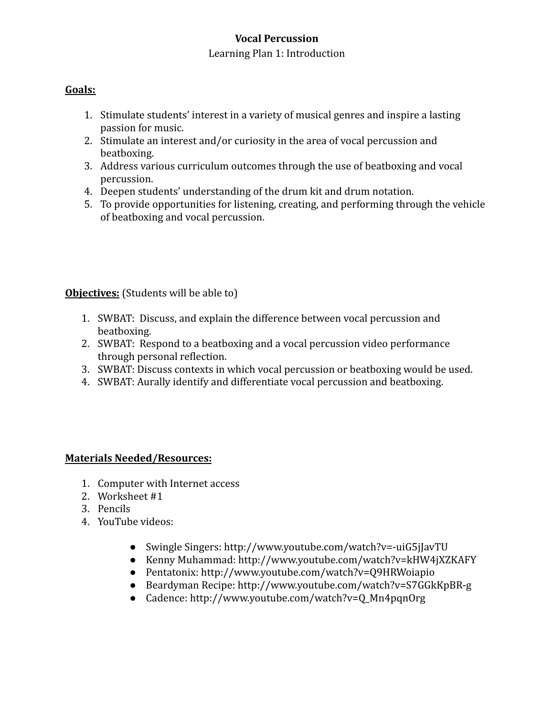#### Learning Plan 1: Introduction

## **Goals:**

- 1. Stimulate students' interest in a variety of musical genres and inspire a lasting passion for music.
- 2. Stimulate an interest and/or curiosity in the area of vocal percussion and beatboxing.
- 3. Address various curriculum outcomes through the use of beatboxing and vocal percussion.
- 4. Deepen students' understanding of the drum kit and drum notation.
- 5. To provide opportunities for listening, creating, and performing through the vehicle of beatboxing and vocal percussion.

### **Objectives:** (Students will be able to)

- 1. SWBAT: Discuss, and explain the difference between vocal percussion and beatboxing.
- 2. SWBAT: Respond to a beatboxing and a vocal percussion video performance through personal reflection.
- 3. SWBAT: Discuss contexts in which vocal percussion or beatboxing would be used.
- 4. SWBAT: Aurally identify and differentiate vocal percussion and beatboxing.

#### **Materials Needed/Resources:**

- 1. Computer with Internet access
- 2. Worksheet #1
- 3. Pencils
- 4. YouTube videos:
	- Swingle Singers: http://www.youtube.com/watch?v=-uiG5jJavTU
	- Kenny Muhammad: http://www.youtube.com/watch?v=kHW4jXZKAFY
	- Pentatonix: http://www.youtube.com/watch?v=Q9HRWoiapio
	- Beardyman Recipe: http://www.youtube.com/watch?v=S7GGkKpBR-g
	- Cadence: http://www.youtube.com/watch?v=Q\_Mn4pqnOrg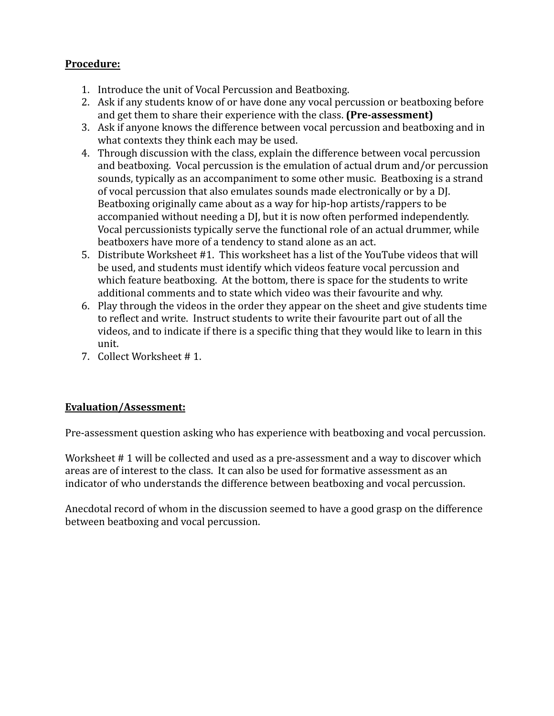- 1. Introduce the unit of Vocal Percussion and Beatboxing.
- 2. Ask if any students know of or have done any vocal percussion or beatboxing before and get them to share their experience with the class. **(Pre-assessment)**
- 3. Ask if anyone knows the difference between vocal percussion and beatboxing and in what contexts they think each may be used.
- 4. Through discussion with the class, explain the difference between vocal percussion and beatboxing. Vocal percussion is the emulation of actual drum and/or percussion sounds, typically as an accompaniment to some other music. Beatboxing is a strand of vocal percussion that also emulates sounds made electronically or by a DJ. Beatboxing originally came about as a way for hip-hop artists/rappers to be accompanied without needing a DJ, but it is now often performed independently. Vocal percussionists typically serve the functional role of an actual drummer, while beatboxers have more of a tendency to stand alone as an act.
- 5. Distribute Worksheet #1. This worksheet has a list of the YouTube videos that will be used, and students must identify which videos feature vocal percussion and which feature beatboxing. At the bottom, there is space for the students to write additional comments and to state which video was their favourite and why.
- 6. Play through the videos in the order they appear on the sheet and give students time to reflect and write. Instruct students to write their favourite part out of all the videos, and to indicate if there is a specific thing that they would like to learn in this unit.
- 7. Collect Worksheet # 1.

## **Evaluation/Assessment:**

Pre-assessment question asking who has experience with beatboxing and vocal percussion.

Worksheet # 1 will be collected and used as a pre-assessment and a way to discover which areas are of interest to the class. It can also be used for formative assessment as an indicator of who understands the difference between beatboxing and vocal percussion.

Anecdotal record of whom in the discussion seemed to have a good grasp on the difference between beatboxing and vocal percussion.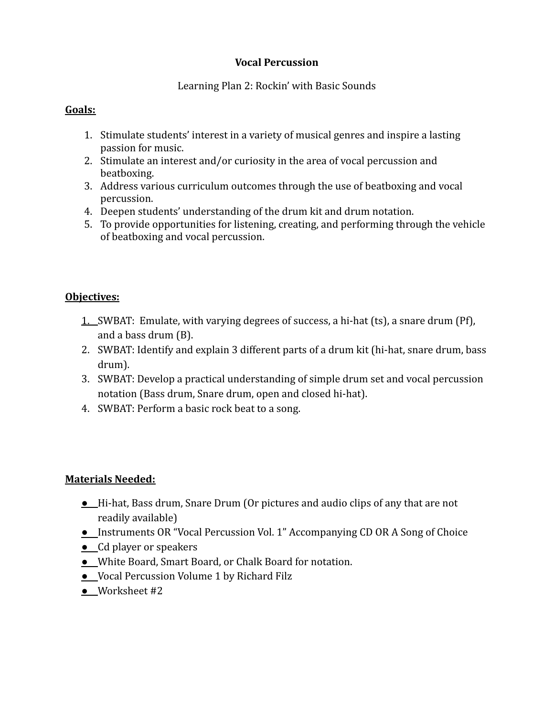#### Learning Plan 2: Rockin' with Basic Sounds

## **Goals:**

- 1. Stimulate students' interest in a variety of musical genres and inspire a lasting passion for music.
- 2. Stimulate an interest and/or curiosity in the area of vocal percussion and beatboxing.
- 3. Address various curriculum outcomes through the use of beatboxing and vocal percussion.
- 4. Deepen students' understanding of the drum kit and drum notation.
- 5. To provide opportunities for listening, creating, and performing through the vehicle of beatboxing and vocal percussion.

## **Objectives:**

- 1. SWBAT: Emulate, with varying degrees of success, a hi-hat (ts), a snare drum (Pf), and a bass drum (B).
- 2. SWBAT: Identify and explain 3 different parts of a drum kit (hi-hat, snare drum, bass drum).
- 3. SWBAT: Develop a practical understanding of simple drum set and vocal percussion notation (Bass drum, Snare drum, open and closed hi-hat).
- 4. SWBAT: Perform a basic rock beat to a song.

- **●** Hi-hat, Bass drum, Snare Drum (Or pictures and audio clips of any that are not readily available)
- **●** Instruments OR "Vocal Percussion Vol. 1" Accompanying CD OR A Song of Choice
- **●** Cd player or speakers
- **●** White Board, Smart Board, or Chalk Board for notation.
- **●** Vocal Percussion Volume 1 by Richard Filz
- **●** Worksheet #2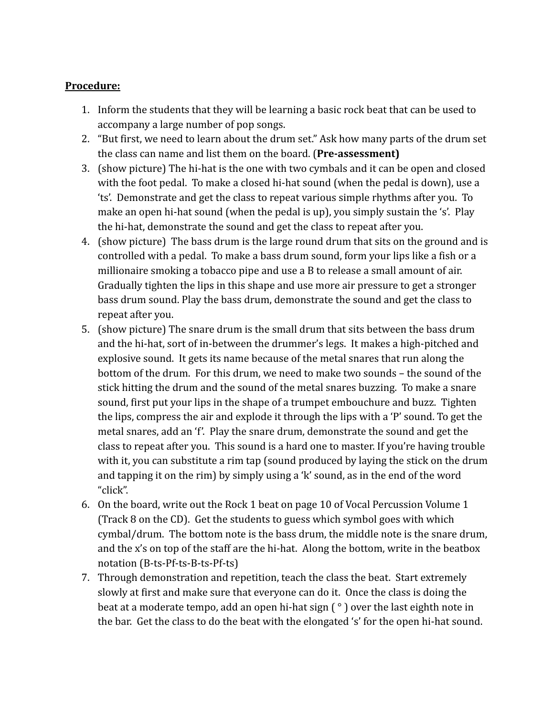- 1. Inform the students that they will be learning a basic rock beat that can be used to accompany a large number of pop songs.
- 2. "But first, we need to learn about the drum set." Ask how many parts of the drum set the class can name and list them on the board. (**Pre-assessment)**
- 3. (show picture) The hi-hat is the one with two cymbals and it can be open and closed with the foot pedal. To make a closed hi-hat sound (when the pedal is down), use a 'ts'. Demonstrate and get the class to repeat various simple rhythms after you. To make an open hi-hat sound (when the pedal is up), you simply sustain the 's'. Play the hi-hat, demonstrate the sound and get the class to repeat after you.
- 4. (show picture) The bass drum is the large round drum that sits on the ground and is controlled with a pedal. To make a bass drum sound, form your lips like a fish or a millionaire smoking a tobacco pipe and use a B to release a small amount of air. Gradually tighten the lips in this shape and use more air pressure to get a stronger bass drum sound. Play the bass drum, demonstrate the sound and get the class to repeat after you.
- 5. (show picture) The snare drum is the small drum that sits between the bass drum and the hi-hat, sort of in-between the drummer's legs. It makes a high-pitched and explosive sound. It gets its name because of the metal snares that run along the bottom of the drum. For this drum, we need to make two sounds – the sound of the stick hitting the drum and the sound of the metal snares buzzing. To make a snare sound, first put your lips in the shape of a trumpet embouchure and buzz. Tighten the lips, compress the air and explode it through the lips with a 'P' sound. To get the metal snares, add an 'f'. Play the snare drum, demonstrate the sound and get the class to repeat after you. This sound is a hard one to master. If you're having trouble with it, you can substitute a rim tap (sound produced by laying the stick on the drum and tapping it on the rim) by simply using a 'k' sound, as in the end of the word "click".
- 6. On the board, write out the Rock 1 beat on page 10 of Vocal Percussion Volume 1 (Track 8 on the CD). Get the students to guess which symbol goes with which cymbal/drum. The bottom note is the bass drum, the middle note is the snare drum, and the x's on top of the staff are the hi-hat. Along the bottom, write in the beatbox notation (B-ts-Pf-ts-B-ts-Pf-ts)
- 7. Through demonstration and repetition, teach the class the beat. Start extremely slowly at first and make sure that everyone can do it. Once the class is doing the beat at a moderate tempo, add an open hi-hat sign  $\binom{\circ}{\circ}$  over the last eighth note in the bar. Get the class to do the beat with the elongated 's' for the open hi-hat sound.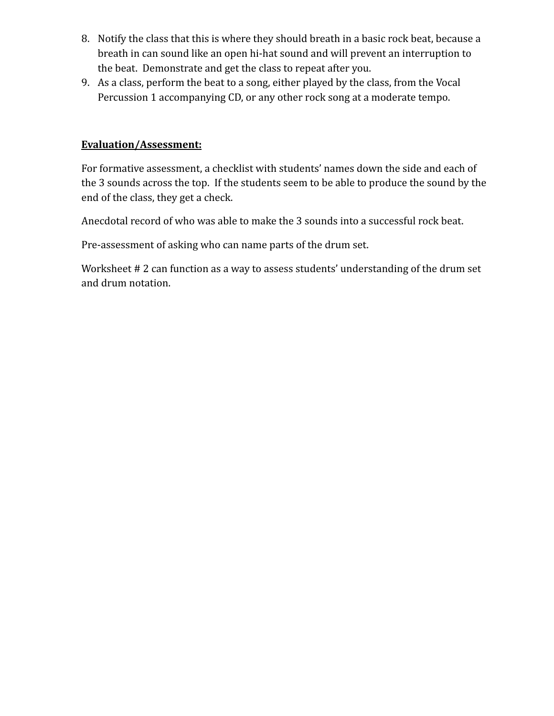- 8. Notify the class that this is where they should breath in a basic rock beat, because a breath in can sound like an open hi-hat sound and will prevent an interruption to the beat. Demonstrate and get the class to repeat after you.
- 9. As a class, perform the beat to a song, either played by the class, from the Vocal Percussion 1 accompanying CD, or any other rock song at a moderate tempo.

### **Evaluation/Assessment:**

For formative assessment, a checklist with students' names down the side and each of the 3 sounds across the top. If the students seem to be able to produce the sound by the end of the class, they get a check.

Anecdotal record of who was able to make the 3 sounds into a successful rock beat.

Pre-assessment of asking who can name parts of the drum set.

Worksheet # 2 can function as a way to assess students' understanding of the drum set and drum notation.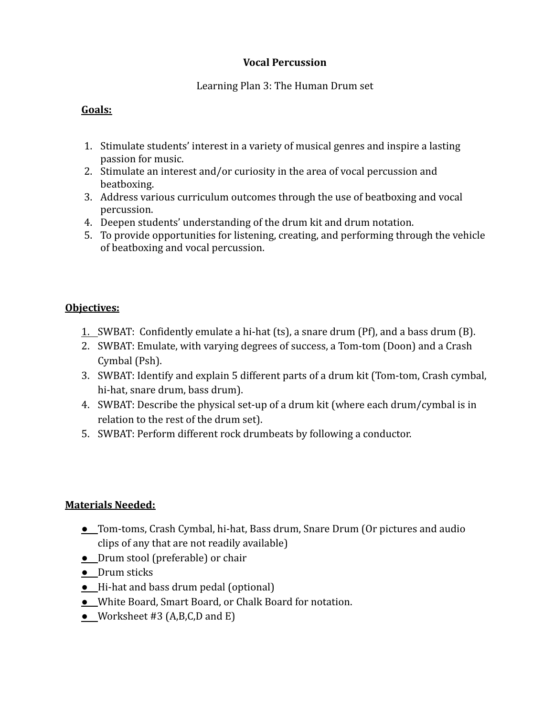## Learning Plan 3: The Human Drum set

## **Goals:**

- 1. Stimulate students' interest in a variety of musical genres and inspire a lasting passion for music.
- 2. Stimulate an interest and/or curiosity in the area of vocal percussion and beatboxing.
- 3. Address various curriculum outcomes through the use of beatboxing and vocal percussion.
- 4. Deepen students' understanding of the drum kit and drum notation.
- 5. To provide opportunities for listening, creating, and performing through the vehicle of beatboxing and vocal percussion.

# **Objectives:**

- 1. SWBAT: Confidently emulate a hi-hat (ts), a snare drum (Pf), and a bass drum (B).
- 2. SWBAT: Emulate, with varying degrees of success, a Tom-tom (Doon) and a Crash Cymbal (Psh).
- 3. SWBAT: Identify and explain 5 different parts of a drum kit (Tom-tom, Crash cymbal, hi-hat, snare drum, bass drum).
- 4. SWBAT: Describe the physical set-up of a drum kit (where each drum/cymbal is in relation to the rest of the drum set).
- 5. SWBAT: Perform different rock drumbeats by following a conductor.

- **●** Tom-toms, Crash Cymbal, hi-hat, Bass drum, Snare Drum (Or pictures and audio clips of any that are not readily available)
- **●** Drum stool (preferable) or chair
- **●** Drum sticks
- **●** Hi-hat and bass drum pedal (optional)
- **●** White Board, Smart Board, or Chalk Board for notation.
- **●** Worksheet #3 (A,B,C,D and E)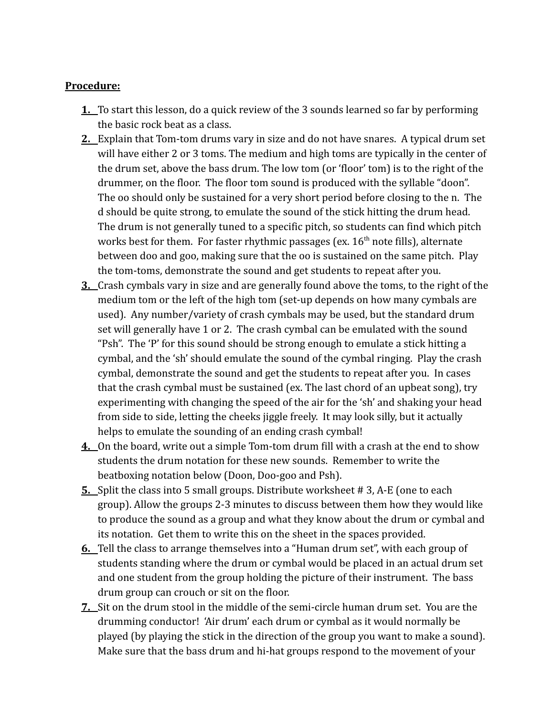- **1.** To start this lesson, do a quick review of the 3 sounds learned so far by performing the basic rock beat as a class.
- **2.** Explain that Tom-tom drums vary in size and do not have snares. A typical drum set will have either 2 or 3 toms. The medium and high toms are typically in the center of the drum set, above the bass drum. The low tom (or 'floor' tom) is to the right of the drummer, on the floor. The floor tom sound is produced with the syllable "doon". The oo should only be sustained for a very short period before closing to the n. The d should be quite strong, to emulate the sound of the stick hitting the drum head. The drum is not generally tuned to a specific pitch, so students can find which pitch works best for them. For faster rhythmic passages (ex.  $16<sup>th</sup>$  note fills), alternate between doo and goo, making sure that the oo is sustained on the same pitch. Play the tom-toms, demonstrate the sound and get students to repeat after you.
- **3.** Crash cymbals vary in size and are generally found above the toms, to the right of the medium tom or the left of the high tom (set-up depends on how many cymbals are used). Any number/variety of crash cymbals may be used, but the standard drum set will generally have 1 or 2. The crash cymbal can be emulated with the sound "Psh". The 'P' for this sound should be strong enough to emulate a stick hitting a cymbal, and the 'sh' should emulate the sound of the cymbal ringing. Play the crash cymbal, demonstrate the sound and get the students to repeat after you. In cases that the crash cymbal must be sustained (ex. The last chord of an upbeat song), try experimenting with changing the speed of the air for the 'sh' and shaking your head from side to side, letting the cheeks jiggle freely. It may look silly, but it actually helps to emulate the sounding of an ending crash cymbal!
- **4.** On the board, write out a simple Tom-tom drum fill with a crash at the end to show students the drum notation for these new sounds. Remember to write the beatboxing notation below (Doon, Doo-goo and Psh).
- **5.** Split the class into 5 small groups. Distribute worksheet # 3, A-E (one to each group). Allow the groups 2-3 minutes to discuss between them how they would like to produce the sound as a group and what they know about the drum or cymbal and its notation. Get them to write this on the sheet in the spaces provided.
- **6.** Tell the class to arrange themselves into a "Human drum set", with each group of students standing where the drum or cymbal would be placed in an actual drum set and one student from the group holding the picture of their instrument. The bass drum group can crouch or sit on the floor.
- **7.** Sit on the drum stool in the middle of the semi-circle human drum set. You are the drumming conductor! 'Air drum' each drum or cymbal as it would normally be played (by playing the stick in the direction of the group you want to make a sound). Make sure that the bass drum and hi-hat groups respond to the movement of your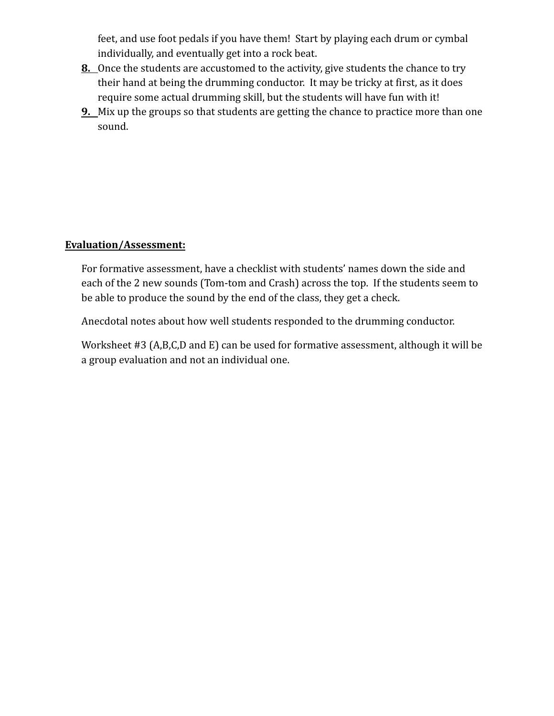feet, and use foot pedals if you have them! Start by playing each drum or cymbal individually, and eventually get into a rock beat.

- **8.** Once the students are accustomed to the activity, give students the chance to try their hand at being the drumming conductor. It may be tricky at first, as it does require some actual drumming skill, but the students will have fun with it!
- **9.** Mix up the groups so that students are getting the chance to practice more than one sound.

### **Evaluation/Assessment:**

For formative assessment, have a checklist with students' names down the side and each of the 2 new sounds (Tom-tom and Crash) across the top. If the students seem to be able to produce the sound by the end of the class, they get a check.

Anecdotal notes about how well students responded to the drumming conductor.

Worksheet #3 (A,B,C,D and E) can be used for formative assessment, although it will be a group evaluation and not an individual one.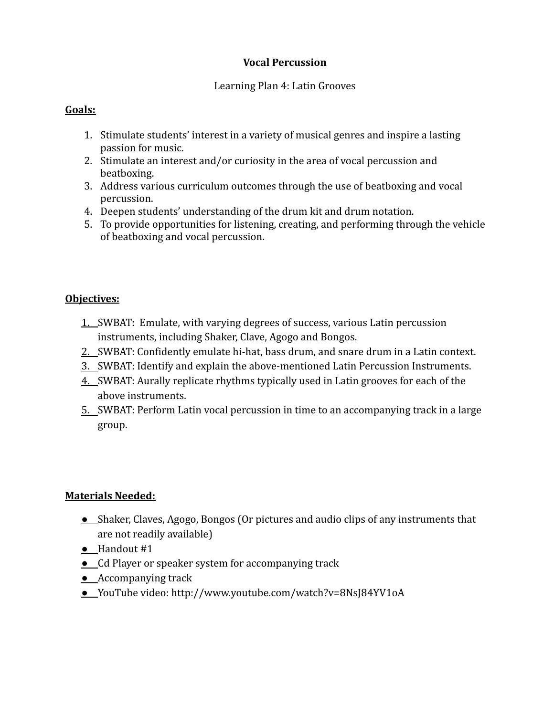## Learning Plan 4: Latin Grooves

## **Goals:**

- 1. Stimulate students' interest in a variety of musical genres and inspire a lasting passion for music.
- 2. Stimulate an interest and/or curiosity in the area of vocal percussion and beatboxing.
- 3. Address various curriculum outcomes through the use of beatboxing and vocal percussion.
- 4. Deepen students' understanding of the drum kit and drum notation.
- 5. To provide opportunities for listening, creating, and performing through the vehicle of beatboxing and vocal percussion.

# **Objectives:**

- 1. SWBAT: Emulate, with varying degrees of success, various Latin percussion instruments, including Shaker, Clave, Agogo and Bongos.
- 2. SWBAT: Confidently emulate hi-hat, bass drum, and snare drum in a Latin context.
- 3. SWBAT: Identify and explain the above-mentioned Latin Percussion Instruments.
- 4. SWBAT: Aurally replicate rhythms typically used in Latin grooves for each of the above instruments.
- 5. SWBAT: Perform Latin vocal percussion in time to an accompanying track in a large group.

- **●** Shaker, Claves, Agogo, Bongos (Or pictures and audio clips of any instruments that are not readily available)
- **●** Handout #1
- **●** Cd Player or speaker system for accompanying track
- **●** Accompanying track
- **●** YouTube video: http://www.youtube.com/watch?v=8NsJ84YV1oA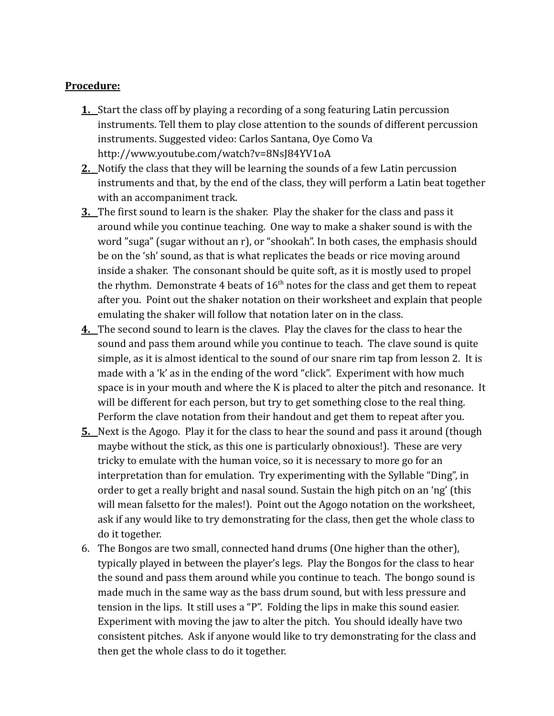- **1.** Start the class off by playing a recording of a song featuring Latin percussion instruments. Tell them to play close attention to the sounds of different percussion instruments. Suggested video: Carlos Santana, Oye Como Va http://www.youtube.com/watch?v=8NsJ84YV1oA
- **2.** Notify the class that they will be learning the sounds of a few Latin percussion instruments and that, by the end of the class, they will perform a Latin beat together with an accompaniment track.
- **3.** The first sound to learn is the shaker. Play the shaker for the class and pass it around while you continue teaching. One way to make a shaker sound is with the word "suga" (sugar without an r), or "shookah". In both cases, the emphasis should be on the 'sh' sound, as that is what replicates the beads or rice moving around inside a shaker. The consonant should be quite soft, as it is mostly used to propel the rhythm. Demonstrate 4 beats of  $16<sup>th</sup>$  notes for the class and get them to repeat after you. Point out the shaker notation on their worksheet and explain that people emulating the shaker will follow that notation later on in the class.
- **4.** The second sound to learn is the claves. Play the claves for the class to hear the sound and pass them around while you continue to teach. The clave sound is quite simple, as it is almost identical to the sound of our snare rim tap from lesson 2. It is made with a 'k' as in the ending of the word "click". Experiment with how much space is in your mouth and where the K is placed to alter the pitch and resonance. It will be different for each person, but try to get something close to the real thing. Perform the clave notation from their handout and get them to repeat after you.
- **5.** Next is the Agogo. Play it for the class to hear the sound and pass it around (though maybe without the stick, as this one is particularly obnoxious!). These are very tricky to emulate with the human voice, so it is necessary to more go for an interpretation than for emulation. Try experimenting with the Syllable "Ding", in order to get a really bright and nasal sound. Sustain the high pitch on an 'ng' (this will mean falsetto for the males!). Point out the Agogo notation on the worksheet, ask if any would like to try demonstrating for the class, then get the whole class to do it together.
- 6. The Bongos are two small, connected hand drums (One higher than the other), typically played in between the player's legs. Play the Bongos for the class to hear the sound and pass them around while you continue to teach. The bongo sound is made much in the same way as the bass drum sound, but with less pressure and tension in the lips. It still uses a "P". Folding the lips in make this sound easier. Experiment with moving the jaw to alter the pitch. You should ideally have two consistent pitches. Ask if anyone would like to try demonstrating for the class and then get the whole class to do it together.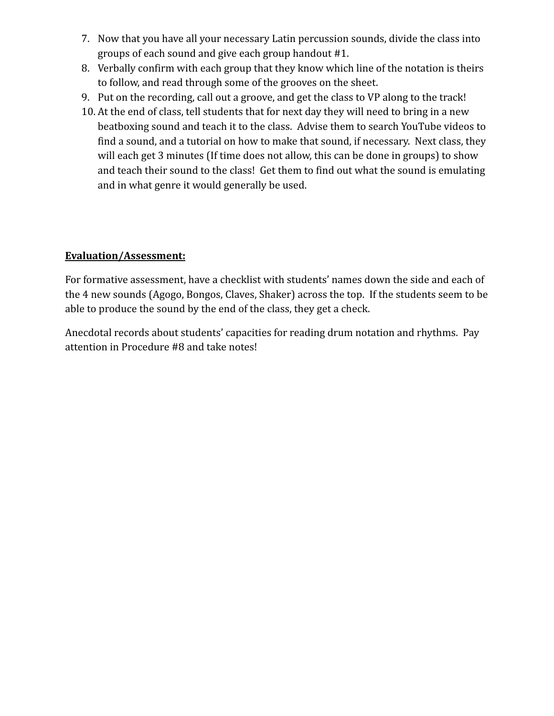- 7. Now that you have all your necessary Latin percussion sounds, divide the class into groups of each sound and give each group handout #1.
- 8. Verbally confirm with each group that they know which line of the notation is theirs to follow, and read through some of the grooves on the sheet.
- 9. Put on the recording, call out a groove, and get the class to VP along to the track!
- 10. At the end of class, tell students that for next day they will need to bring in a new beatboxing sound and teach it to the class. Advise them to search YouTube videos to find a sound, and a tutorial on how to make that sound, if necessary. Next class, they will each get 3 minutes (If time does not allow, this can be done in groups) to show and teach their sound to the class! Get them to find out what the sound is emulating and in what genre it would generally be used.

## **Evaluation/Assessment:**

For formative assessment, have a checklist with students' names down the side and each of the 4 new sounds (Agogo, Bongos, Claves, Shaker) across the top. If the students seem to be able to produce the sound by the end of the class, they get a check.

Anecdotal records about students' capacities for reading drum notation and rhythms. Pay attention in Procedure #8 and take notes!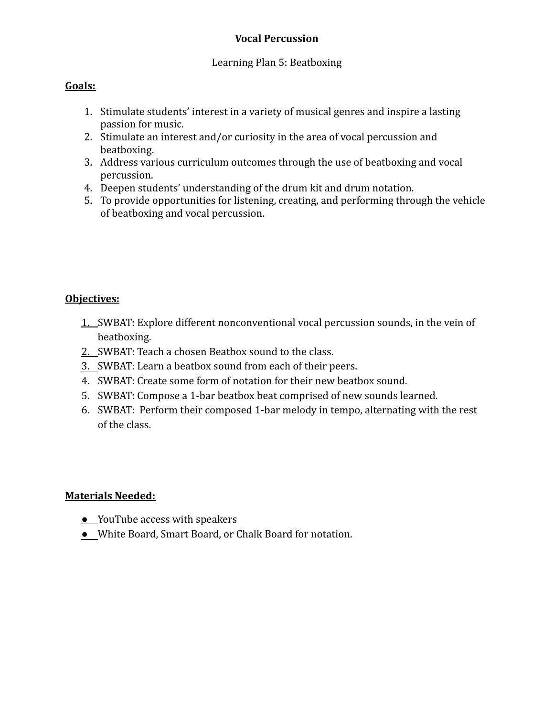#### Learning Plan 5: Beatboxing

#### **Goals:**

- 1. Stimulate students' interest in a variety of musical genres and inspire a lasting passion for music.
- 2. Stimulate an interest and/or curiosity in the area of vocal percussion and beatboxing.
- 3. Address various curriculum outcomes through the use of beatboxing and vocal percussion.
- 4. Deepen students' understanding of the drum kit and drum notation.
- 5. To provide opportunities for listening, creating, and performing through the vehicle of beatboxing and vocal percussion.

#### **Objectives:**

- 1. SWBAT: Explore different nonconventional vocal percussion sounds, in the vein of beatboxing.
- 2. SWBAT: Teach a chosen Beatbox sound to the class.
- 3. SWBAT: Learn a beatbox sound from each of their peers.
- 4. SWBAT: Create some form of notation for their new beatbox sound.
- 5. SWBAT: Compose a 1-bar beatbox beat comprised of new sounds learned.
- 6. SWBAT: Perform their composed 1-bar melody in tempo, alternating with the rest of the class.

- **●** YouTube access with speakers
- **●** White Board, Smart Board, or Chalk Board for notation.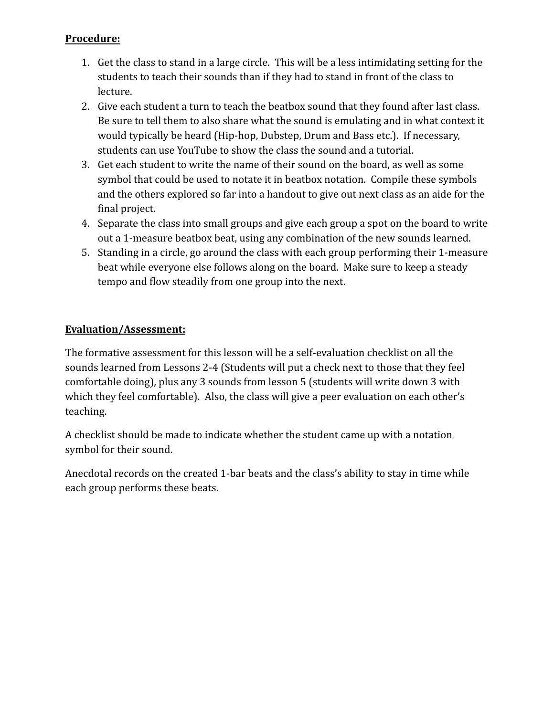- 1. Get the class to stand in a large circle. This will be a less intimidating setting for the students to teach their sounds than if they had to stand in front of the class to lecture.
- 2. Give each student a turn to teach the beatbox sound that they found after last class. Be sure to tell them to also share what the sound is emulating and in what context it would typically be heard (Hip-hop, Dubstep, Drum and Bass etc.). If necessary, students can use YouTube to show the class the sound and a tutorial.
- 3. Get each student to write the name of their sound on the board, as well as some symbol that could be used to notate it in beatbox notation. Compile these symbols and the others explored so far into a handout to give out next class as an aide for the final project.
- 4. Separate the class into small groups and give each group a spot on the board to write out a 1-measure beatbox beat, using any combination of the new sounds learned.
- 5. Standing in a circle, go around the class with each group performing their 1-measure beat while everyone else follows along on the board. Make sure to keep a steady tempo and flow steadily from one group into the next.

# **Evaluation/Assessment:**

The formative assessment for this lesson will be a self-evaluation checklist on all the sounds learned from Lessons 2-4 (Students will put a check next to those that they feel comfortable doing), plus any 3 sounds from lesson 5 (students will write down 3 with which they feel comfortable). Also, the class will give a peer evaluation on each other's teaching.

A checklist should be made to indicate whether the student came up with a notation symbol for their sound.

Anecdotal records on the created 1-bar beats and the class's ability to stay in time while each group performs these beats.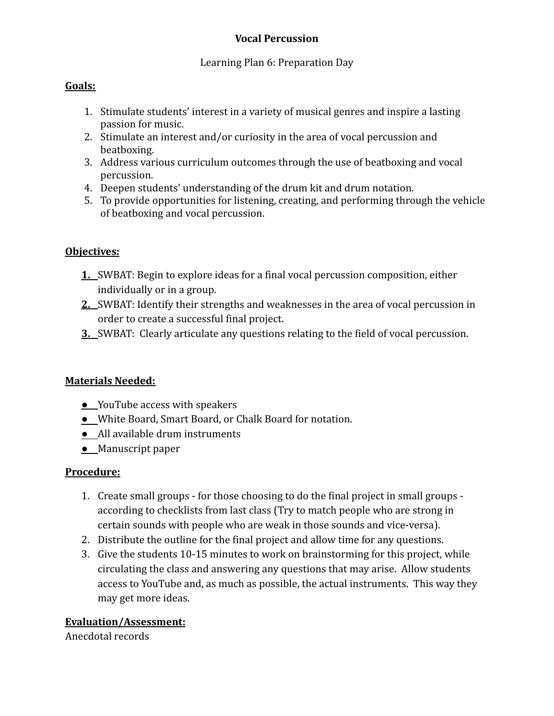## Learning Plan 6: Preparation Day

# **Goals:**

- 1. Stimulate students' interest in a variety of musical genres and inspire a lasting passion for music.
- 2. Stimulate an interest and/or curiosity in the area of vocal percussion and beatboxing.
- 3. Address various curriculum outcomes through the use of beatboxing and vocal percussion.
- 4. Deepen students' understanding of the drum kit and drum notation.
- 5. To provide opportunities for listening, creating, and performing through the vehicle of beatboxing and vocal percussion.

# **Objectives:**

- **1.** SWBAT: Begin to explore ideas for a final vocal percussion composition, either individually or in a group.
- **2.** SWBAT: Identify their strengths and weaknesses in the area of vocal percussion in order to create a successful final project.
- **3.** SWBAT: Clearly articulate any questions relating to the field of vocal percussion.

## **Materials Needed:**

- **●** YouTube access with speakers
- **●** White Board, Smart Board, or Chalk Board for notation.
- **●** All available drum instruments
- **●** Manuscript paper

## **Procedure:**

- 1. Create small groups for those choosing to do the final project in small groups according to checklists from last class (Try to match people who are strong in certain sounds with people who are weak in those sounds and vice-versa).
- 2. Distribute the outline for the final project and allow time for any questions.
- 3. Give the students 10-15 minutes to work on brainstorming for this project, while circulating the class and answering any questions that may arise. Allow students access to YouTube and, as much as possible, the actual instruments. This way they may get more ideas.

## **Evaluation/Assessment:**

Anecdotal records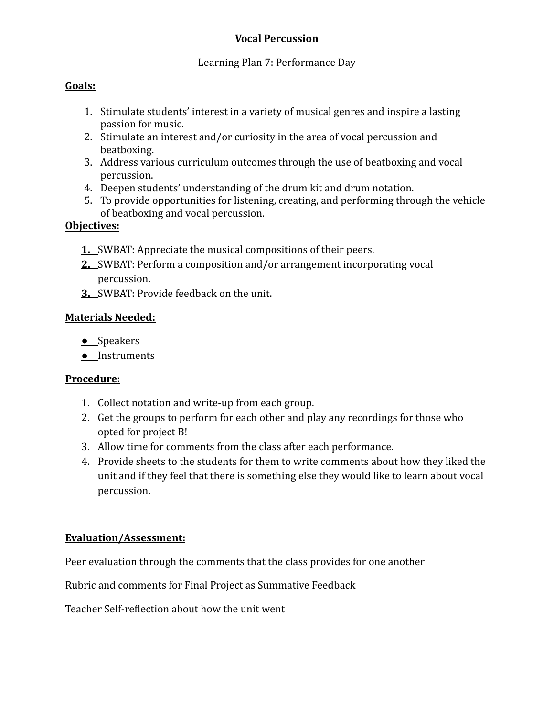## Learning Plan 7: Performance Day

## **Goals:**

- 1. Stimulate students' interest in a variety of musical genres and inspire a lasting passion for music.
- 2. Stimulate an interest and/or curiosity in the area of vocal percussion and beatboxing.
- 3. Address various curriculum outcomes through the use of beatboxing and vocal percussion.
- 4. Deepen students' understanding of the drum kit and drum notation.
- 5. To provide opportunities for listening, creating, and performing through the vehicle of beatboxing and vocal percussion.

## **Objectives:**

- **1.** SWBAT: Appreciate the musical compositions of their peers.
- **2.** SWBAT: Perform a composition and/or arrangement incorporating vocal percussion.
- **3.** SWBAT: Provide feedback on the unit.

# **Materials Needed:**

- **●** Speakers
- **●** Instruments

## **Procedure:**

- 1. Collect notation and write-up from each group.
- 2. Get the groups to perform for each other and play any recordings for those who opted for project B!
- 3. Allow time for comments from the class after each performance.
- 4. Provide sheets to the students for them to write comments about how they liked the unit and if they feel that there is something else they would like to learn about vocal percussion.

## **Evaluation/Assessment:**

Peer evaluation through the comments that the class provides for one another

Rubric and comments for Final Project as Summative Feedback

Teacher Self-reflection about how the unit went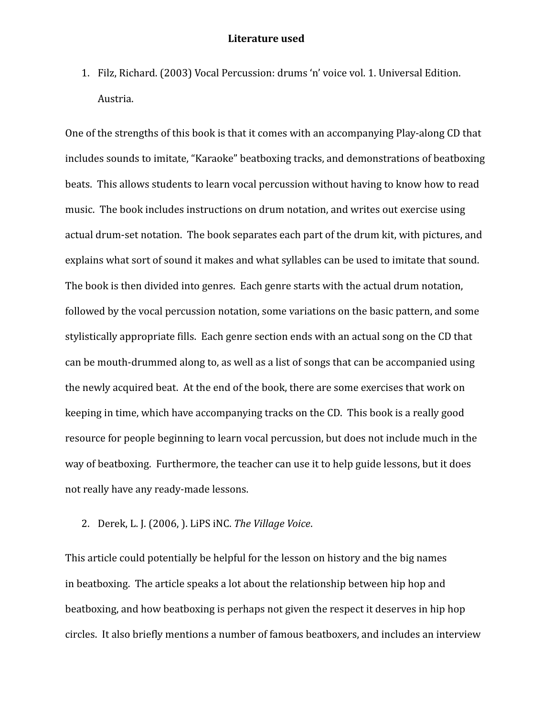1. Filz, Richard. (2003) Vocal Percussion: drums 'n' voice vol. 1. Universal Edition. Austria.

One of the strengths of this book is that it comes with an accompanying Play-along CD that includes sounds to imitate, "Karaoke" beatboxing tracks, and demonstrations of beatboxing beats. This allows students to learn vocal percussion without having to know how to read music. The book includes instructions on drum notation, and writes out exercise using actual drum-set notation. The book separates each part of the drum kit, with pictures, and explains what sort of sound it makes and what syllables can be used to imitate that sound. The book is then divided into genres. Each genre starts with the actual drum notation, followed by the vocal percussion notation, some variations on the basic pattern, and some stylistically appropriate fills. Each genre section ends with an actual song on the CD that can be mouth-drummed along to, as well as a list of songs that can be accompanied using the newly acquired beat. At the end of the book, there are some exercises that work on keeping in time, which have accompanying tracks on the CD. This book is a really good resource for people beginning to learn vocal percussion, but does not include much in the way of beatboxing. Furthermore, the teacher can use it to help guide lessons, but it does not really have any ready-made lessons.

2. Derek, L. J. (2006, ). LiPS iNC. *The Village Voice*.

This article could potentially be helpful for the lesson on history and the big names in beatboxing. The article speaks a lot about the relationship between hip hop and beatboxing, and how beatboxing is perhaps not given the respect it deserves in hip hop circles. It also briefly mentions a number of famous beatboxers, and includes an interview